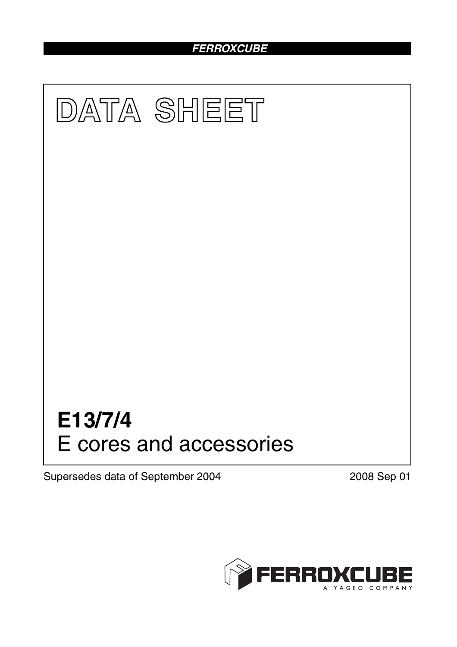### *FERROXCUBE*



Supersedes data of September 2004 2008 Sep 01

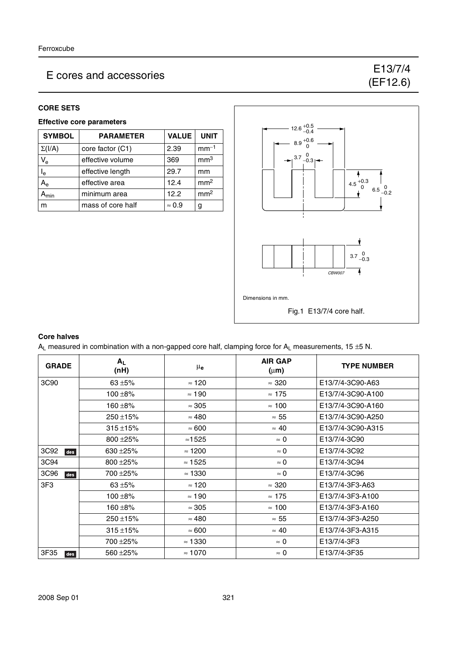#### **CORE SETS**

#### **Effective core parameters**

| <b>SYMBOL</b>   | <b>PARAMETER</b>  | <b>VALUE</b>  | <b>UNIT</b>     |
|-----------------|-------------------|---------------|-----------------|
| $\Sigma(I/A)$   | core factor (C1)  | 2.39          | $mm-1$          |
| $V_{e}$         | effective volume  | 369           | mm <sup>3</sup> |
| l <sub>e</sub>  | effective length  | 29.7          | mm              |
| A <sub>e</sub>  | effective area    | 12.4          | mm <sup>2</sup> |
| $\mathsf{m}$ in | minimum area      | 12.2          | mm <sup>2</sup> |
| m               | mass of core half | $\approx 0.9$ | g               |



#### **Core halves**

 $A_L$  measured in combination with a non-gapped core half, clamping force for  $A_L$  measurements, 15 ±5 N.

| <b>GRADE</b> | $A_L$<br>(nH) | $\mu_{\mathbf{e}}$ | <b>AIR GAP</b><br>$(\mu m)$ | <b>TYPE NUMBER</b> |
|--------------|---------------|--------------------|-----------------------------|--------------------|
| 3C90         | 63 $\pm$ 5%   | $\approx$ 120      | $\approx 320$               | E13/7/4-3C90-A63   |
|              | $100 + 8%$    | $\approx 190$      | $\approx$ 175               | E13/7/4-3C90-A100  |
|              | 160 ±8%       | $\approx 305$      | $\approx$ 100               | E13/7/4-3C90-A160  |
|              | $250 + 15%$   | $\approx 480$      | $\approx 55$                | E13/7/4-3C90-A250  |
|              | $315 + 15%$   | $\approx 600$      | $\approx 40$                | E13/7/4-3C90-A315  |
|              | 800 ± 25%     | $\approx$ 1525     | $\approx 0$                 | E13/7/4-3C90       |
| 3C92<br>des  | 630 ± 25%     | $\approx$ 1200     | $\approx 0$                 | E13/7/4-3C92       |
| 3C94         | 800 ± 25%     | $\approx 1525$     | $\approx 0$                 | E13/7/4-3C94       |
| 3C96<br>des  | 700 ± 25%     | $\approx$ 1330     | $\approx 0$                 | E13/7/4-3C96       |
| 3F3          | 63 $±5%$      | $\approx$ 120      | $\approx 320$               | E13/7/4-3F3-A63    |
|              | $100 + 8%$    | $\approx$ 190      | $\approx$ 175               | E13/7/4-3F3-A100   |
|              | 160 ±8%       | $\approx 305$      | $\approx$ 100               | E13/7/4-3F3-A160   |
|              | $250 + 15%$   | $\approx 480$      | $\approx 55$                | E13/7/4-3F3-A250   |
|              | $315 + 15%$   | $\approx 600$      | $\approx 40$                | E13/7/4-3F3-A315   |
|              | 700 ±25%      | $\approx$ 1330     | $\approx 0$                 | E13/7/4-3F3        |
| 3F35<br>des  | 560 ± 25%     | $\approx 1070$     | $\approx 0$                 | E13/7/4-3F35       |

# (EF12.6)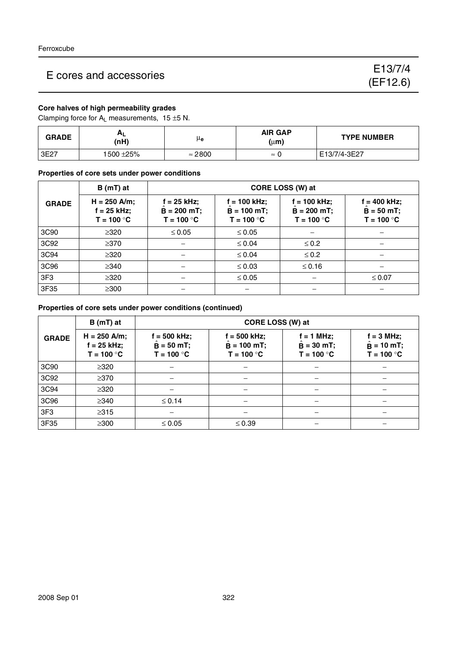#### **Core halves of high permeability grades**

Clamping force for  $A_L$  measurements, 15  $\pm$ 5 N.

| <b>GRADE</b> | AL<br>(nH) | μe             | <b>AIR GAP</b><br>(µm) | <b>TYPE NUMBER</b> |
|--------------|------------|----------------|------------------------|--------------------|
| 3E27         | 1500 ±25%  | $\approx$ 2800 | $\approx$              | E13/7/4-3E27       |

**Properties of core sets under power conditions**

|                  | $B(mT)$ at                                      | CORE LOSS (W) at                             |                                                 |                                                 |                                               |  |  |
|------------------|-------------------------------------------------|----------------------------------------------|-------------------------------------------------|-------------------------------------------------|-----------------------------------------------|--|--|
| <b>GRADE</b>     | $H = 250$ A/m;<br>$f = 25$ kHz;<br>$T = 100 °C$ | f = 25 kHz;<br>$B = 200$ mT;<br>$T = 100 °C$ | $f = 100$ kHz;<br>$B = 100$ mT;<br>$T = 100 °C$ | $f = 100$ kHz;<br>$B = 200$ mT;<br>$T = 100 °C$ | f = 400 kHz;<br>$B = 50 mT$ ;<br>$T = 100 °C$ |  |  |
| 3C <sub>90</sub> | $\geq 320$                                      | $\leq 0.05$                                  | $\leq 0.05$                                     |                                                 |                                               |  |  |
| 3C92             | $\geq$ 370                                      |                                              | $\leq 0.04$                                     | $\leq 0.2$                                      |                                               |  |  |
| 3C94             | $\geq$ 320                                      |                                              | $\leq 0.04$                                     | $\leq 0.2$                                      |                                               |  |  |
| 3C96             | $\geq$ 340                                      |                                              | $\leq 0.03$                                     | $\leq$ 0.16                                     |                                               |  |  |
| 3F <sub>3</sub>  | $\geq$ 320                                      |                                              | $\leq 0.05$                                     |                                                 | $\leq 0.07$                                   |  |  |
| 3F35             | $\geq$ 300                                      |                                              |                                                 |                                                 |                                               |  |  |

#### **Properties of core sets under power conditions (continued)**

|                 | $B(mT)$ at                                      | CORE LOSS (W) at                               |                                                 |                                            |                                                    |  |
|-----------------|-------------------------------------------------|------------------------------------------------|-------------------------------------------------|--------------------------------------------|----------------------------------------------------|--|
| <b>GRADE</b>    | $H = 250$ A/m;<br>$f = 25$ kHz;<br>$T = 100 °C$ | $f = 500$ kHz;<br>$B = 50$ mT;<br>$T = 100 °C$ | $f = 500$ kHz;<br>$B = 100$ mT;<br>$T = 100 °C$ | f = 1 MHz;<br>$B = 30$ mT;<br>$T = 100 °C$ | $f = 3$ MHz;<br>$\hat{B} = 10$ mT;<br>$T = 100 °C$ |  |
| 3C90            | $\geq 320$                                      |                                                |                                                 |                                            |                                                    |  |
| 3C92            | $\geq$ 370                                      |                                                |                                                 |                                            |                                                    |  |
| 3C94            | $\geq 320$                                      |                                                |                                                 |                                            |                                                    |  |
| 3C96            | $\geq$ 340                                      | $\leq 0.14$                                    |                                                 | —                                          |                                                    |  |
| 3F <sub>3</sub> | $\geq 315$                                      |                                                |                                                 |                                            |                                                    |  |
| 3F35            | $\geq$ 300                                      | $\leq 0.05$                                    | $\leq 0.39$                                     |                                            |                                                    |  |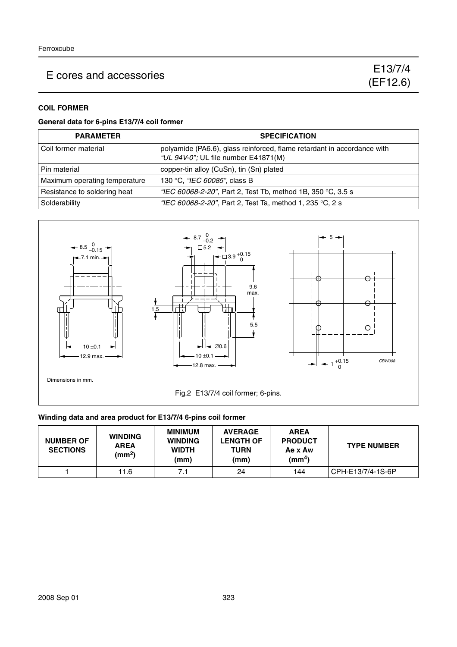#### **COIL FORMER**

#### **General data for 6-pins E13/7/4 coil former**

| <b>PARAMETER</b>              | <b>SPECIFICATION</b>                                                                                            |
|-------------------------------|-----------------------------------------------------------------------------------------------------------------|
| Coil former material          | polyamide (PA6.6), glass reinforced, flame retardant in accordance with<br>"UL 94V-0"; UL file number E41871(M) |
| Pin material                  | copper-tin alloy (CuSn), tin (Sn) plated                                                                        |
| Maximum operating temperature | 130 °C, "IEC 60085", class B                                                                                    |
| Resistance to soldering heat  | "IEC 60068-2-20", Part 2, Test Tb, method 1B, 350 °C, 3.5 s                                                     |
| Solderability                 | "IEC 60068-2-20", Part 2, Test Ta, method 1, 235 °C, 2 s                                                        |



#### **Winding data and area product for E13/7/4 6-pins coil former**

| <b>NUMBER OF</b><br><b>SECTIONS</b> | <b>WINDING</b><br><b>AREA</b><br>(mm <sup>2</sup> ) | <b>MINIMUM</b><br><b>WINDING</b><br><b>WIDTH</b><br>(mm) | <b>AVERAGE</b><br><b>LENGTH OF</b><br>TURN<br>(mm) | <b>AREA</b><br><b>PRODUCT</b><br>Ae x Aw<br>$\text{(mm}^4)$ | <b>TYPE NUMBER</b> |
|-------------------------------------|-----------------------------------------------------|----------------------------------------------------------|----------------------------------------------------|-------------------------------------------------------------|--------------------|
|                                     | 11.6                                                | 7.1                                                      | 24                                                 | 144                                                         | CPH-E13/7/4-1S-6P  |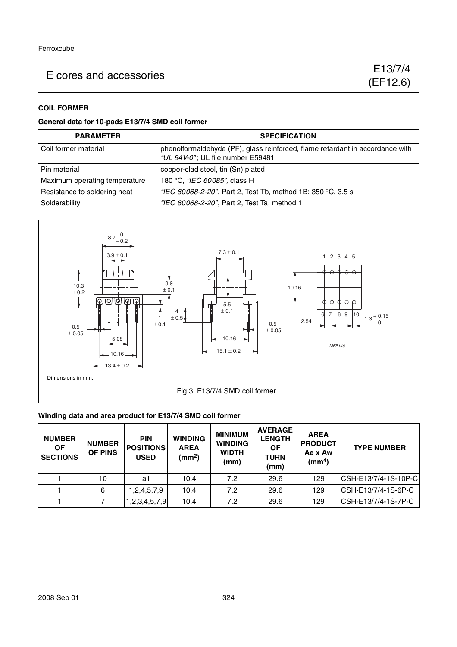#### **COIL FORMER**

#### **General data for 10-pads E13/7/4 SMD coil former**

| <b>PARAMETER</b>              | <b>SPECIFICATION</b>                                                                                               |
|-------------------------------|--------------------------------------------------------------------------------------------------------------------|
| Coil former material          | phenolformaldehyde (PF), glass reinforced, flame retardant in accordance with<br>"UL 94V-0"; UL file number E59481 |
| Pin material                  | copper-clad steel, tin (Sn) plated                                                                                 |
| Maximum operating temperature | 180 °C, "IEC 60085", class H                                                                                       |
| Resistance to soldering heat  | "IEC 60068-2-20", Part 2, Test Tb, method 1B: 350 °C, 3.5 s                                                        |
| Solderability                 | "IEC 60068-2-20", Part 2, Test Ta, method 1                                                                        |



#### **Winding data and area product for E13/7/4 SMD coil former**

| <b>NUMBER</b><br><b>OF</b><br><b>SECTIONS</b> | <b>NUMBER</b><br>OF PINS | <b>PIN</b><br><b>POSITIONS</b><br><b>USED</b> | <b>WINDING</b><br><b>AREA</b><br>(mm <sup>2</sup> ) | <b>MINIMUM</b><br><b>WINDING</b><br><b>WIDTH</b><br>(mm) | <b>AVERAGE</b><br><b>LENGTH</b><br><b>OF</b><br><b>TURN</b><br>(mm) | <b>AREA</b><br><b>PRODUCT</b><br>Ae x Aw<br>(mm <sup>4</sup> ) | <b>TYPE NUMBER</b>   |
|-----------------------------------------------|--------------------------|-----------------------------------------------|-----------------------------------------------------|----------------------------------------------------------|---------------------------------------------------------------------|----------------------------------------------------------------|----------------------|
|                                               | 10                       | all                                           | 10.4                                                | 7.2                                                      | 29.6                                                                | 129                                                            | CSH-E13/7/4-1S-10P-C |
|                                               | 6                        | 1,2,4,5,7,9                                   | 10.4                                                | 7.2                                                      | 29.6                                                                | 129                                                            | CSH-E13/7/4-1S-6P-C  |
|                                               |                          | 1,2,3,4,5,7,9                                 | 10.4                                                | 7.2                                                      | 29.6                                                                | 129                                                            | CSH-E13/7/4-1S-7P-C  |